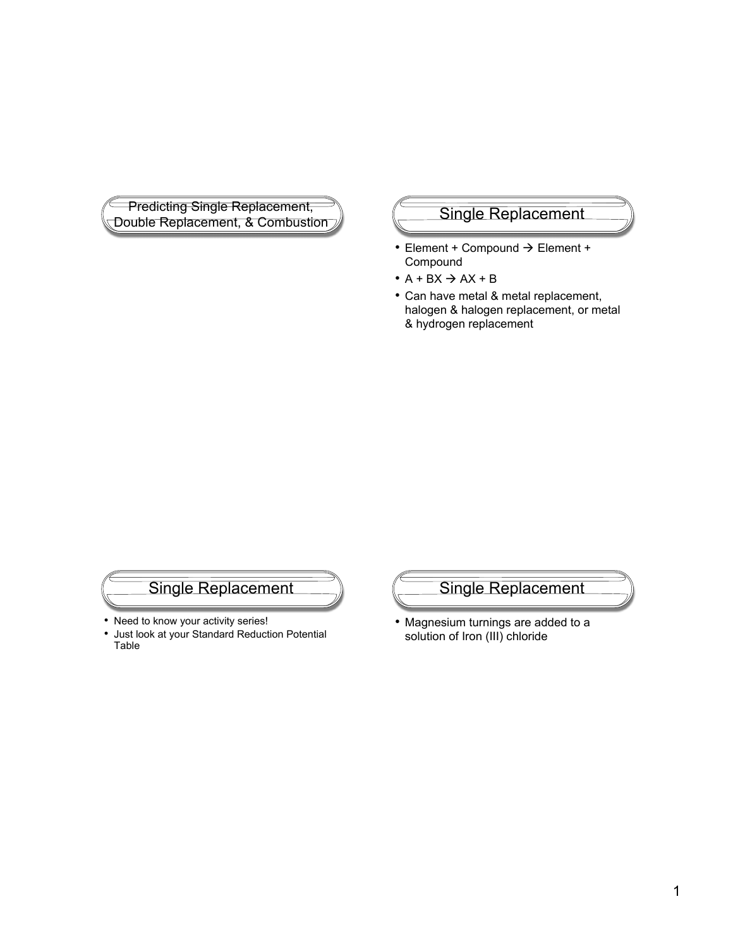**Predicting Single Replacement,** Predicting Single Replacement,<br>Double Replacement, & Combustion Single Replacement

- $\bullet$  Element + Compound  $\rightarrow$  Element + Compound
- $\bullet$  A + BX  $\rightarrow$  AX + B
- Can have metal & metal replacement, halogen & halogen replacement, or metal & hydrogen replacement

## Single Replacement

- Need to know your activity series!
- Just look at your Standard Reduction Potential Table

Single Replacement

• Magnesium turnings are added to a solution of Iron (III) chloride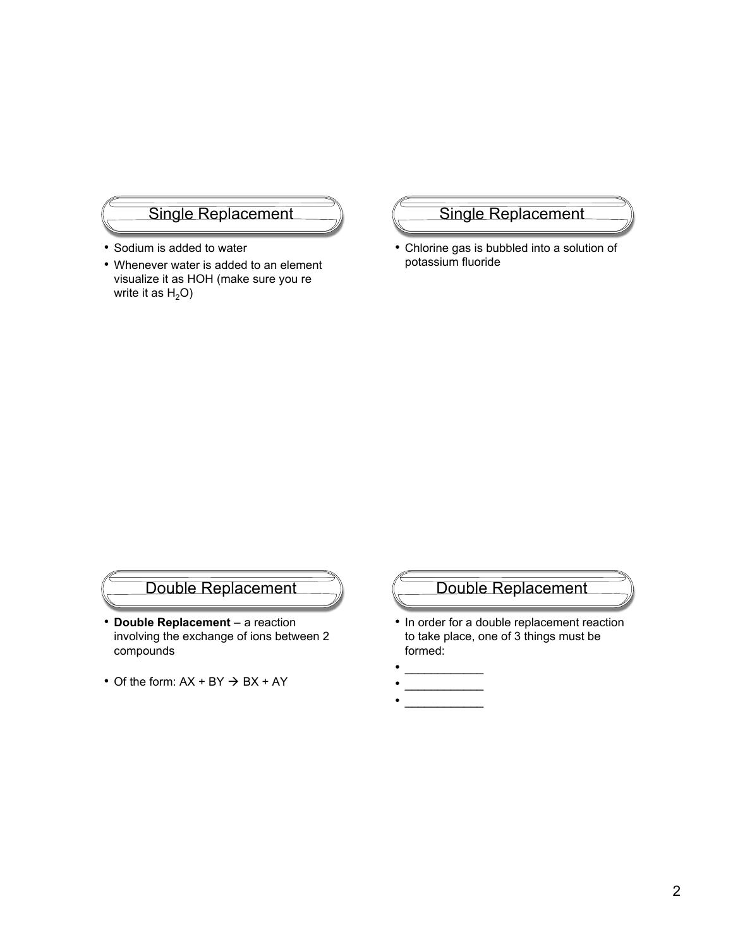### Single Replacement

- Sodium is added to water
- Whenever water is added to an element visualize it as HOH (make sure you re write it as  $H_2O$ )

#### Single Replacement

• Chlorine gas is bubbled into a solution of potassium fluoride

## Double Replacement

- **Double Replacement** a reaction involving the exchange of ions between 2 compounds
- Of the form:  $AX + BY \rightarrow BX + AY$

## Double Replacement

- In order for a double replacement reaction to take place, one of 3 things must be formed:
- $\cdot$   $\hspace{0.06cm}-$
- \_\_\_\_\_\_\_\_\_\_\_\_ • \_\_\_\_\_\_\_\_\_\_\_\_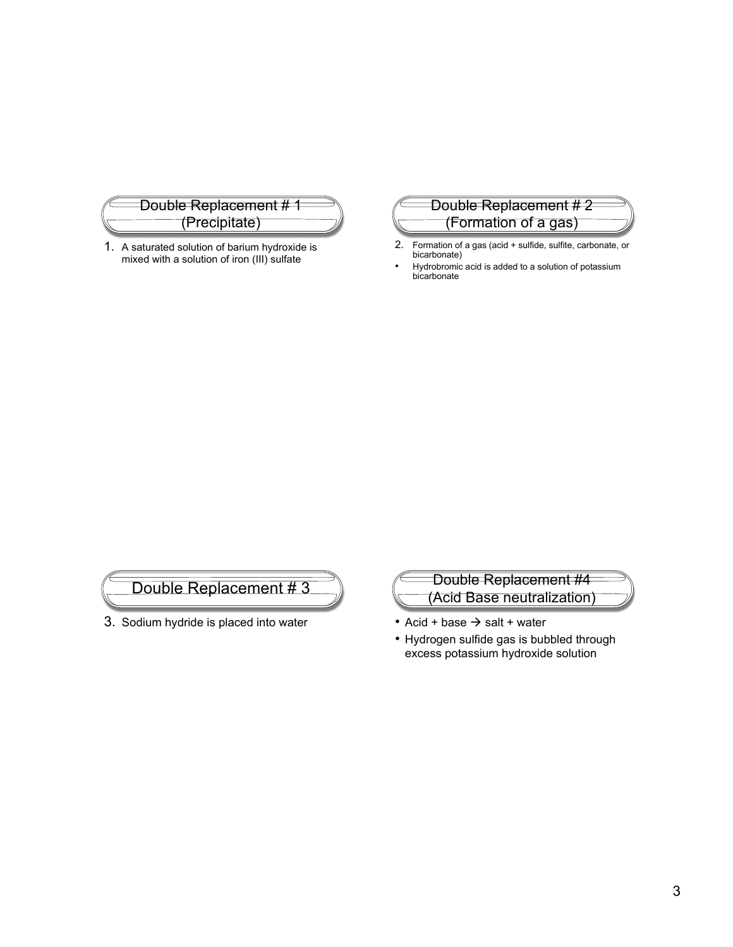

1. A saturated solution of barium hydroxide is mixed with a solution of iron (III) sulfate

#### Double Replacement # 2 (Formation of a gas)

- 2. Formation of a gas (acid + sulfide, sulfite, carbonate, or bicarbonate)
- Hydrobromic acid is added to a solution of potassium bicarbonate



3. Sodium hydride is placed into water



- Acid + base  $\rightarrow$  salt + water
- Hydrogen sulfide gas is bubbled through excess potassium hydroxide solution